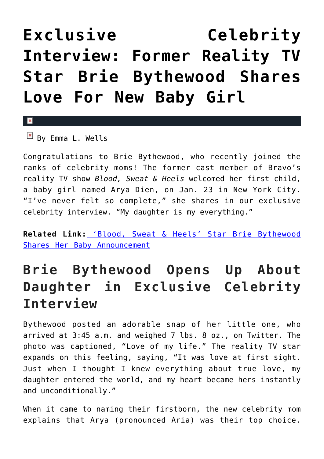## **[Exclusive Celebrity](https://cupidspulse.com/85901/celebrity-interview-reality-star-brie-bythewood-baby-girl/) [Interview: Former Reality TV](https://cupidspulse.com/85901/celebrity-interview-reality-star-brie-bythewood-baby-girl/) [Star Brie Bythewood Shares](https://cupidspulse.com/85901/celebrity-interview-reality-star-brie-bythewood-baby-girl/) [Love For New Baby Girl](https://cupidspulse.com/85901/celebrity-interview-reality-star-brie-bythewood-baby-girl/)**

 $\mathbf x$ 

 $\boxed{\times}$  By Emma L. Wells

Congratulations to Brie Bythewood, who recently joined the ranks of celebrity moms! The former cast member of Bravo's reality TV show *Blood, Sweat & Heels* welcomed her first child, a baby girl named Arya Dien, on Jan. 23 in New York City. "I've never felt so complete," she shares in our exclusive celebrity interview. "My daughter is my everything."

**Related Link:** ['Blood, Sweat & Heels' Star Brie Bythewood](http://cupidspulse.com/80112/blood-sweat-and-heels-star-brie-bythewood-pregnancy/) [Shares Her Baby Announcement](http://cupidspulse.com/80112/blood-sweat-and-heels-star-brie-bythewood-pregnancy/)

## **Brie Bythewood Opens Up About Daughter in Exclusive Celebrity Interview**

Bythewood posted an adorable snap of her little one, who arrived at 3:45 a.m. and weighed 7 lbs. 8 oz., on Twitter. The photo was captioned, "Love of my life." The reality TV star expands on this feeling, saying, "It was love at first sight. Just when I thought I knew everything about true love, my daughter entered the world, and my heart became hers instantly and unconditionally."

When it came to naming their firstborn, the new celebrity mom explains that Arya (pronounced Aria) was their top choice.